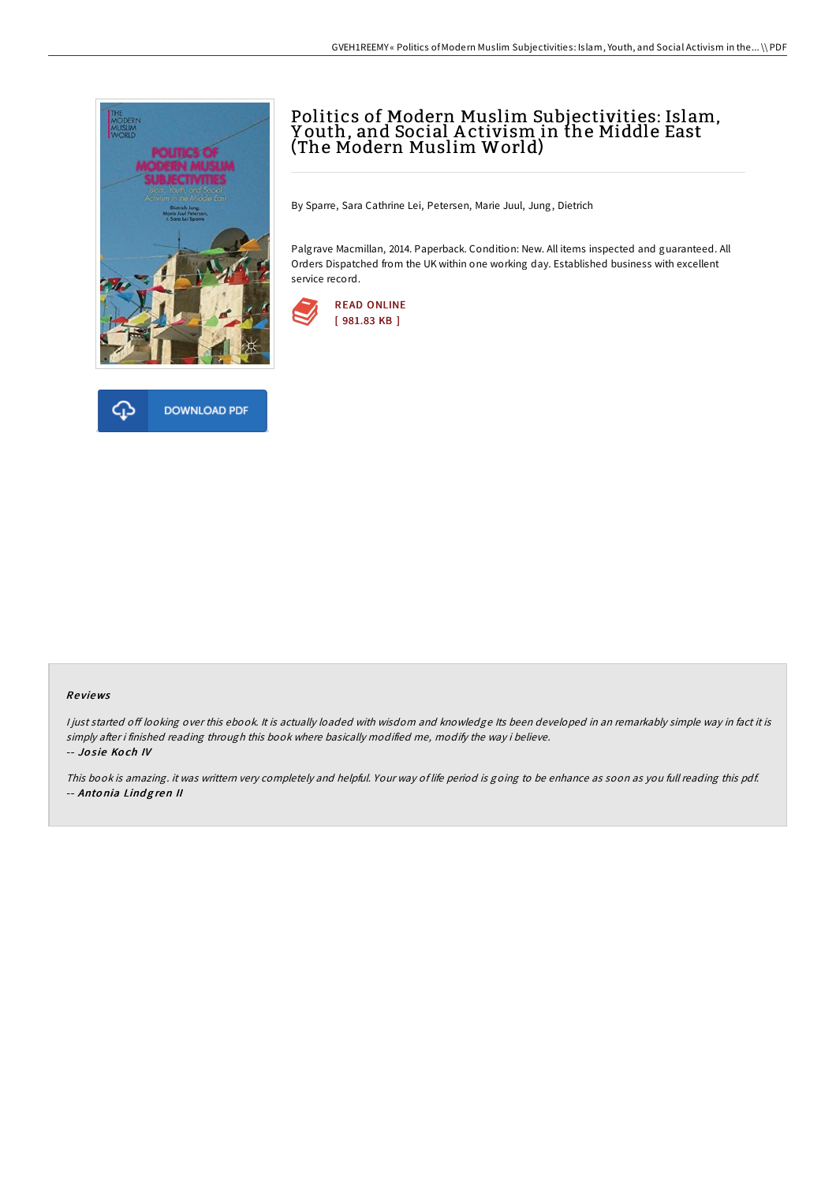



# Politics of Modern Muslim Subjectivities: Islam, Y outh, and Social A ctivism in the Middle East (The Modern Muslim World)

By Sparre, Sara Cathrine Lei, Petersen, Marie Juul, Jung, Dietrich

Palgrave Macmillan, 2014. Paperback. Condition: New. All items inspected and guaranteed. All Orders Dispatched from the UK within one working day. Established business with excellent service record.



### Re views

I just started off looking over this ebook. It is actually loaded with wisdom and knowledge Its been developed in an remarkably simple way in fact it is simply after i finished reading through this book where basically modified me, modify the way i believe. -- Josie Koch IV

This book is amazing. it was writtern very completely and helpful. Your way of life period is going to be enhance as soon as you full reading this pdf. -- Antonia Lindgren II